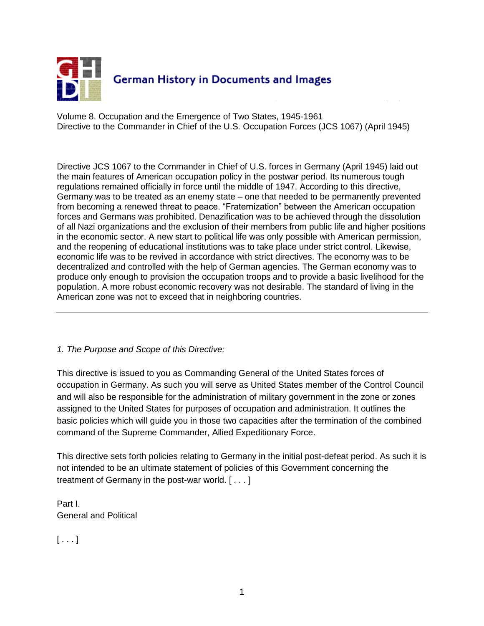

Volume 8. Occupation and the Emergence of Two States, 1945-1961 Directive to the Commander in Chief of the U.S. Occupation Forces (JCS 1067) (April 1945)

Directive JCS 1067 to the Commander in Chief of U.S. forces in Germany (April 1945) laid out the main features of American occupation policy in the postwar period. Its numerous tough regulations remained officially in force until the middle of 1947. According to this directive, Germany was to be treated as an enemy state – one that needed to be permanently prevented from becoming a renewed threat to peace. "Fraternization" between the American occupation forces and Germans was prohibited. Denazification was to be achieved through the dissolution of all Nazi organizations and the exclusion of their members from public life and higher positions in the economic sector. A new start to political life was only possible with American permission, and the reopening of educational institutions was to take place under strict control. Likewise, economic life was to be revived in accordance with strict directives. The economy was to be decentralized and controlled with the help of German agencies. The German economy was to produce only enough to provision the occupation troops and to provide a basic livelihood for the population. A more robust economic recovery was not desirable. The standard of living in the American zone was not to exceed that in neighboring countries.

*1. The Purpose and Scope of this Directive:*

This directive is issued to you as Commanding General of the United States forces of occupation in Germany. As such you will serve as United States member of the Control Council and will also be responsible for the administration of military government in the zone or zones assigned to the United States for purposes of occupation and administration. It outlines the basic policies which will guide you in those two capacities after the termination of the combined command of the Supreme Commander, Allied Expeditionary Force.

This directive sets forth policies relating to Germany in the initial post-defeat period. As such it is not intended to be an ultimate statement of policies of this Government concerning the treatment of Germany in the post-war world. [ . . . ]

Part I. General and Political

 $[...]$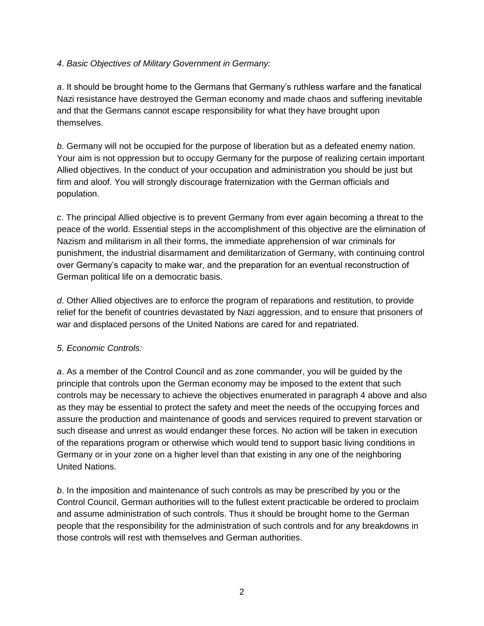#### *4*. *Basic Objectives of Military Government in Germany:*

*a*. It should be brought home to the Germans that Germany's ruthless warfare and the fanatical Nazi resistance have destroyed the German economy and made chaos and suffering inevitable and that the Germans cannot escape responsibility for what they have brought upon themselves.

*b*. Germany will not be occupied for the purpose of liberation but as a defeated enemy nation. Your aim is not oppression but to occupy Germany for the purpose of realizing certain important Allied objectives. In the conduct of your occupation and administration you should be just but firm and aloof. You will strongly discourage fraternization with the German officials and population.

*c*. The principal Allied objective is to prevent Germany from ever again becoming a threat to the peace of the world. Essential steps in the accomplishment of this objective are the elimination of Nazism and militarism in all their forms, the immediate apprehension of war criminals for punishment, the industrial disarmament and demilitarization of Germany, with continuing control over Germany's capacity to make war, and the preparation for an eventual reconstruction of German political life on a democratic basis.

*d*. Other Allied objectives are to enforce the program of reparations and restitution, to provide relief for the benefit of countries devastated by Nazi aggression, and to ensure that prisoners of war and displaced persons of the United Nations are cared for and repatriated.

#### *5. Economic Controls:*

*a*. As a member of the Control Council and as zone commander, you will be guided by the principle that controls upon the German economy may be imposed to the extent that such controls may be necessary to achieve the objectives enumerated in paragraph 4 above and also as they may be essential to protect the safety and meet the needs of the occupying forces and assure the production and maintenance of goods and services required to prevent starvation or such disease and unrest as would endanger these forces. No action will be taken in execution of the reparations program or otherwise which would tend to support basic living conditions in Germany or in your zone on a higher level than that existing in any one of the neighboring United Nations.

*b*. In the imposition and maintenance of such controls as may be prescribed by you or the Control Council, German authorities will to the fullest extent practicable be ordered to proclaim and assume administration of such controls. Thus it should be brought home to the German people that the responsibility for the administration of such controls and for any breakdowns in those controls will rest with themselves and German authorities.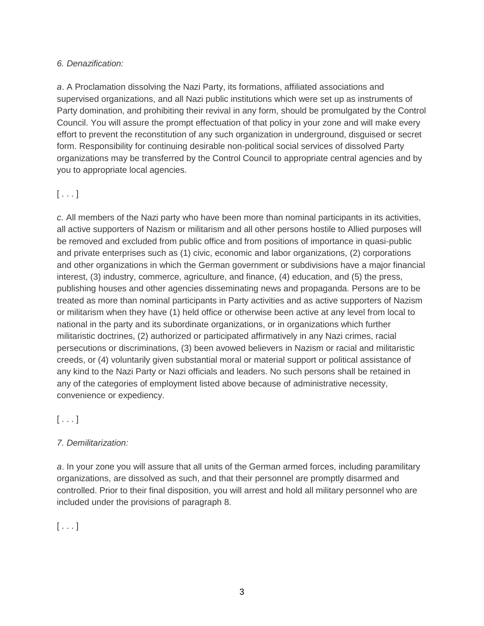### *6. Denazification:*

*a*. A Proclamation dissolving the Nazi Party, its formations, affiliated associations and supervised organizations, and all Nazi public institutions which were set up as instruments of Party domination, and prohibiting their revival in any form, should be promulgated by the Control Council. You will assure the prompt effectuation of that policy in your zone and will make every effort to prevent the reconstitution of any such organization in underground, disguised or secret form. Responsibility for continuing desirable non-political social services of dissolved Party organizations may be transferred by the Control Council to appropriate central agencies and by you to appropriate local agencies.

## $[\ldots]$

*c.* All members of the Nazi party who have been more than nominal participants in its activities, all active supporters of Nazism or militarism and all other persons hostile to Allied purposes will be removed and excluded from public office and from positions of importance in quasi-public and private enterprises such as (1) civic, economic and labor organizations, (2) corporations and other organizations in which the German government or subdivisions have a major financial interest, (3) industry, commerce, agriculture, and finance, (4) education, and (5) the press, publishing houses and other agencies disseminating news and propaganda. Persons are to be treated as more than nominal participants in Party activities and as active supporters of Nazism or militarism when they have (1) held office or otherwise been active at any level from local to national in the party and its subordinate organizations, or in organizations which further militaristic doctrines, (2) authorized or participated affirmatively in any Nazi crimes, racial persecutions or discriminations, (3) been avowed believers in Nazism or racial and militaristic creeds, or (4) voluntarily given substantial moral or material support or political assistance of any kind to the Nazi Party or Nazi officials and leaders. No such persons shall be retained in any of the categories of employment listed above because of administrative necessity, convenience or expediency.

 $[...]$ 

#### *7. Demilitarization:*

*a*. In your zone you will assure that all units of the German armed forces, including paramilitary organizations, are dissolved as such, and that their personnel are promptly disarmed and controlled. Prior to their final disposition, you will arrest and hold all military personnel who are included under the provisions of paragraph 8.

 $[\ldots]$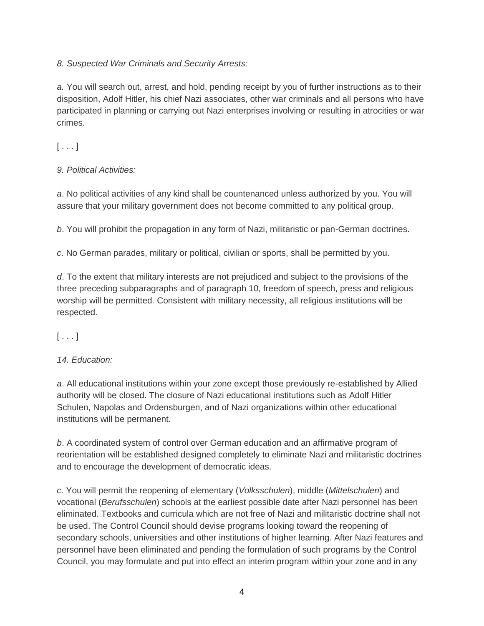### *8. Suspected War Criminals and Security Arrests:*

*a.* You will search out, arrest, and hold, pending receipt by you of further instructions as to their disposition, Adolf Hitler, his chief Nazi associates, other war criminals and all persons who have participated in planning or carrying out Nazi enterprises involving or resulting in atrocities or war crimes.

 $[ . . . ]$ 

*9. Political Activities:*

*a*. No political activities of any kind shall be countenanced unless authorized by you. You will assure that your military government does not become committed to any political group.

*b*. You will prohibit the propagation in any form of Nazi, militaristic or pan-German doctrines.

*c*. No German parades, military or political, civilian or sports, shall be permitted by you.

*d*. To the extent that military interests are not prejudiced and subject to the provisions of the three preceding subparagraphs and of paragraph 10, freedom of speech, press and religious worship will be permitted. Consistent with military necessity, all religious institutions will be respected.

 $[ . . . ]$ 

## *14. Education:*

*a*. All educational institutions within your zone except those previously re-established by Allied authority will be closed. The closure of Nazi educational institutions such as Adolf Hitler Schulen, Napolas and Ordensburgen, and of Nazi organizations within other educational institutions will be permanent.

*b*. A coordinated system of control over German education and an affirmative program of reorientation will be established designed completely to eliminate Nazi and militaristic doctrines and to encourage the development of democratic ideas.

*c*. You will permit the reopening of elementary (*Volksschulen*), middle (*Mittelschulen*) and vocational (*Berufsschulen*) schools at the earliest possible date after Nazi personnel has been eliminated. Textbooks and curricula which are not free of Nazi and militaristic doctrine shall not be used. The Control Council should devise programs looking toward the reopening of secondary schools, universities and other institutions of higher learning. After Nazi features and personnel have been eliminated and pending the formulation of such programs by the Control Council, you may formulate and put into effect an interim program within your zone and in any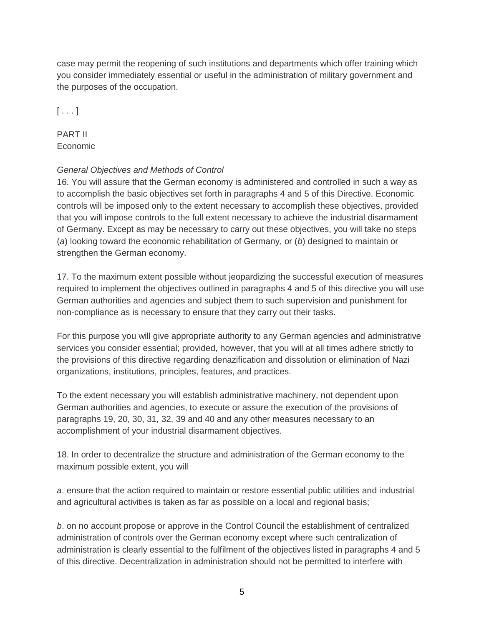case may permit the reopening of such institutions and departments which offer training which you consider immediately essential or useful in the administration of military government and the purposes of the occupation.

 $[ \ldots ]$ 

PART II Economic

### *General Objectives and Methods of Control*

16. You will assure that the German economy is administered and controlled in such a way as to accomplish the basic objectives set forth in paragraphs 4 and 5 of this Directive. Economic controls will be imposed only to the extent necessary to accomplish these objectives, provided that you will impose controls to the full extent necessary to achieve the industrial disarmament of Germany. Except as may be necessary to carry out these objectives, you will take no steps (*a*) looking toward the economic rehabilitation of Germany, or (*b*) designed to maintain or strengthen the German economy.

17. To the maximum extent possible without jeopardizing the successful execution of measures required to implement the objectives outlined in paragraphs 4 and 5 of this directive you will use German authorities and agencies and subject them to such supervision and punishment for non-compliance as is necessary to ensure that they carry out their tasks.

For this purpose you will give appropriate authority to any German agencies and administrative services you consider essential; provided, however, that you will at all times adhere strictly to the provisions of this directive regarding denazification and dissolution or elimination of Nazi organizations, institutions, principles, features, and practices.

To the extent necessary you will establish administrative machinery, not dependent upon German authorities and agencies, to execute or assure the execution of the provisions of paragraphs 19, 20, 30, 31, 32, 39 and 40 and any other measures necessary to an accomplishment of your industrial disarmament objectives.

18. In order to decentralize the structure and administration of the German economy to the maximum possible extent, you will

*a*. ensure that the action required to maintain or restore essential public utilities and industrial and agricultural activities is taken as far as possible on a local and regional basis;

*b*. on no account propose or approve in the Control Council the establishment of centralized administration of controls over the German economy except where such centralization of administration is clearly essential to the fulfilment of the objectives listed in paragraphs 4 and 5 of this directive. Decentralization in administration should not be permitted to interfere with